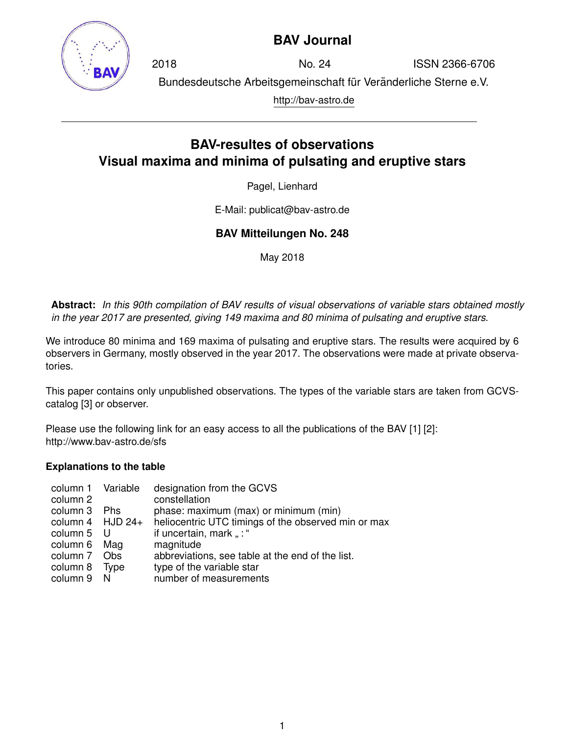

## **BAV Journal**

2018 No. 24 ISSN 2366-6706 Bundesdeutsche Arbeitsgemeinschaft für Veränderliche Sterne e.V. http://bav-astro.de

# **BAV-resultes of observations Visual maxima and minima of pulsating and eruptive stars**

Pagel, Lienhard

E-Mail: publicat@bav-astro.de

### **BAV Mitteilungen No. 248**

May 2018

**Abstract:** *In this 90th compilation of BAV results of visual observations of variable stars obtained mostly in the year 2017 are presented, giving 149 maxima and 80 minima of pulsating and eruptive stars.*

We introduce 80 minima and 169 maxima of pulsating and eruptive stars. The results were acquired by 6 observers in Germany, mostly observed in the year 2017. The observations were made at private observatories.

This paper contains only unpublished observations. The types of the variable stars are taken from GCVScatalog [3] or observer.

Please use the following link for an easy access to all the publications of the BAV [1] [2]: http://www.bav-astro.de/sfs

#### **Explanations to the table**

| column 1 Variable    |      | designation from the GCVS                           |
|----------------------|------|-----------------------------------------------------|
| column 2             |      | constellation                                       |
| column 3 Phs         |      | phase: maximum (max) or minimum (min)               |
| column $4$ HJD $24+$ |      | heliocentric UTC timings of the observed min or max |
| column 5 U           |      | if uncertain, mark ": "                             |
| column 6 Mag         |      | magnitude                                           |
| column 7 Obs         |      | abbreviations, see table at the end of the list.    |
| column 8             | Type | type of the variable star                           |
| column 9 N           |      | number of measurements                              |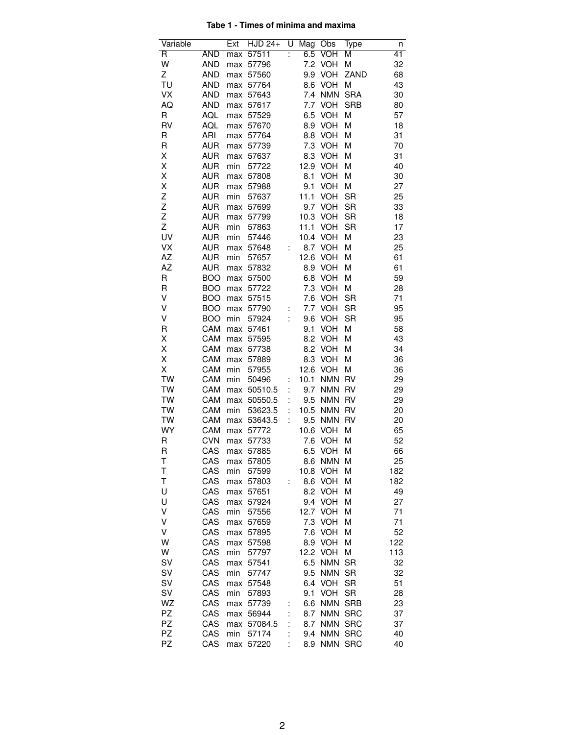#### **Tabe 1 - Times of minima and maxima**

| Variable      |                          | Ext | $HJD 24+$          | U | Mag Obs |                    | Type                   | n        |
|---------------|--------------------------|-----|--------------------|---|---------|--------------------|------------------------|----------|
| R             | <b>AND</b>               | max | 57511              |   | 6.5     | VOH                | M                      | 41       |
| W             | <b>AND</b>               | max | 57796              |   |         | 7.2 VOH            | M                      | 32       |
| Ζ             | <b>AND</b>               | max | 57560              |   |         | 9.9 VOH            | ZAND                   | 68       |
| TU            | <b>AND</b>               | max | 57764              |   |         | 8.6 VOH            | M                      | 43       |
| VX            | <b>AND</b>               |     | max 57643          |   |         | 7.4 NMN            | <b>SRA</b>             | 30       |
| AQ            | <b>AND</b>               |     | max 57617          |   |         | 7.7 VOH            | <b>SRB</b>             | 80       |
| R             | AQL                      |     | max 57529          |   |         | 6.5 VOH            | M                      | 57       |
| <b>RV</b>     | AQL                      |     | max 57670          |   |         | 8.9 VOH            | M                      | 18       |
| $\mathsf R$   | ARI                      |     | max 57764          |   |         | 8.8 VOH            | M                      | 31       |
| $\mathsf R$   | <b>AUR</b>               |     | max 57739          |   |         | 7.3 VOH            | M                      | 70       |
| Χ             | <b>AUR</b>               |     | max 57637          |   |         | 8.3 VOH            | M                      | 31       |
| Χ             | <b>AUR</b>               | min | 57722              |   |         | 12.9 VOH           | Μ                      | 40       |
| Χ             | <b>AUR</b>               |     | max 57808          |   |         | 8.1 VOH            | M                      | 30       |
| X             | <b>AUR</b>               |     | max 57988          |   | 9.1     | <b>VOH</b>         | M                      | 27       |
| Z             | <b>AUR</b>               | min | 57637              |   | 11.1    | VOH                | <b>SR</b>              | 25       |
| $\frac{Z}{Z}$ | <b>AUR</b>               |     | max 57699          |   |         | 9.7 VOH            | <b>SR</b>              | 33       |
|               | <b>AUR</b>               | max | 57799              |   |         | 10.3 VOH           | <b>SR</b>              | 18       |
| Z             | <b>AUR</b>               | min | 57863              |   |         | 11.1 VOH           | <b>SR</b>              | 17       |
| UV            | <b>AUR</b>               | min | 57446              |   |         | 10.4 VOH           | M                      | 23       |
| VX            | <b>AUR</b>               |     | max 57648          | t |         | 8.7 VOH            | M                      | 25       |
| AZ            | AUR                      | min | 57657              |   |         | 12.6 VOH           | M                      | 61       |
| AZ            | <b>AUR</b>               |     | max 57832          |   |         | 8.9 VOH            | M                      | 61       |
| $\mathsf R$   | <b>BOO</b>               | max | 57500              |   |         | 6.8 VOH            | Μ                      | 59       |
| R<br>V        | <b>BOO</b>               |     | max 57722          |   |         | 7.3 VOH            | M                      | 28       |
| V             | <b>BOO</b>               |     | max 57515          |   |         | 7.6 VOH<br>7.7 VOH | <b>SR</b><br><b>SR</b> | 71<br>95 |
| V             | <b>BOO</b><br><b>BOO</b> |     | max 57790<br>57924 | İ |         |                    | <b>SR</b>              | 95       |
| $\mathsf R$   | CAM                      | min | max 57461          |   | 9.1     | 9.6 VOH<br>VOH     | M                      | 58       |
| Χ             | CAM                      | max | 57595              |   |         | 8.2 VOH            | М                      | 43       |
| Χ             | CAM                      |     | max 57738          |   |         | 8.2 VOH            | M                      | 34       |
| Χ             | CAM                      |     | max 57889          |   |         | 8.3 VOH            | M                      | 36       |
| X             | CAM                      | min | 57955              |   |         | 12.6 VOH           | M                      | 36       |
| TW            | CAM                      | min | 50496              |   | 10.1    | <b>NMN</b>         | <b>RV</b>              | 29       |
| TW            | CAM                      |     | max 50510.5        | İ | 9.7     | <b>NMN</b>         | <b>RV</b>              | 29       |
| TW            | CAM                      | max | 50550.5            |   |         | 9.5 NMN            | <b>RV</b>              | 29       |
| TW            | CAM                      | min | 53623.5            |   |         | 10.5 NMN           | <b>RV</b>              | 20       |
| TW            | CAM                      |     | max 53643.5        | ÷ |         | 9.5 NMN            | <b>RV</b>              | 20       |
| <b>WY</b>     | CAM                      |     | max 57772          |   |         | 10.6 VOH           | M                      | 65       |
| R             | <b>CVN</b>               |     | max 57733          |   |         | 7.6 VOH            | M                      | 52       |
| R             | CAS                      |     | max 57885          |   |         | 6.5 VOH            | М                      | 66       |
| Τ             | CAS                      | max | 57805              |   | 8.6     | <b>NMN</b>         | M                      | 25       |
| T             | CAS                      | min | 57599              |   | 10.8    | <b>VOH</b>         | M                      | 182      |
| T             | CAS                      | max | 57803              | ÷ | 8.6     | <b>VOH</b>         | M                      | 182      |
| U             | CAS                      | max | 57651              |   |         | 8.2 VOH            | M                      | 49       |
| U             | CAS                      | max | 57924              |   |         | 9.4 VOH            | M                      | 27       |
| V             | CAS                      | min | 57556              |   |         | 12.7 VOH           | M                      | 71       |
| V             | CAS                      | max | 57659              |   | 7.3     | <b>VOH</b>         | M                      | 71       |
| V             | CAS                      | max | 57895              |   | 7.6     | <b>VOH</b>         | M                      | 52       |
| W             | CAS                      | max | 57598              |   | 8.9     | <b>VOH</b>         | M                      | 122      |
| W             | CAS                      | min | 57797              |   |         | 12.2 VOH           | M                      | 113      |
| SV            | CAS                      | max | 57541              |   | 6.5     | <b>NMN</b>         | <b>SR</b>              | 32       |
| SV            | CAS                      | min | 57747              |   | 9.5     | <b>NMN</b>         | <b>SR</b>              | 32       |
| SV            | CAS                      | max | 57548              |   |         | 6.4 VOH            | <b>SR</b>              | 51       |
| SV            | CAS                      | min | 57893              |   | 9.1     | <b>VOH</b>         | <b>SR</b>              | 28       |
| WZ            | CAS                      | max | 57739              |   | 6.6     | <b>NMN</b>         | <b>SRB</b>             | 23       |
| PZ            | CAS                      | max | 56944              |   | 8.7     | <b>NMN</b>         | <b>SRC</b>             | 37       |
| PZ            | CAS                      | max | 57084.5            |   | 8.7     | <b>NMN</b>         | <b>SRC</b>             | 37       |
| PZ            | CAS                      | min | 57174              |   |         | 9.4 NMN            | <b>SRC</b>             | 40       |
| PZ            | CAS                      | max | 57220              |   | 8.9     | <b>NMN</b>         | <b>SRC</b>             | 40       |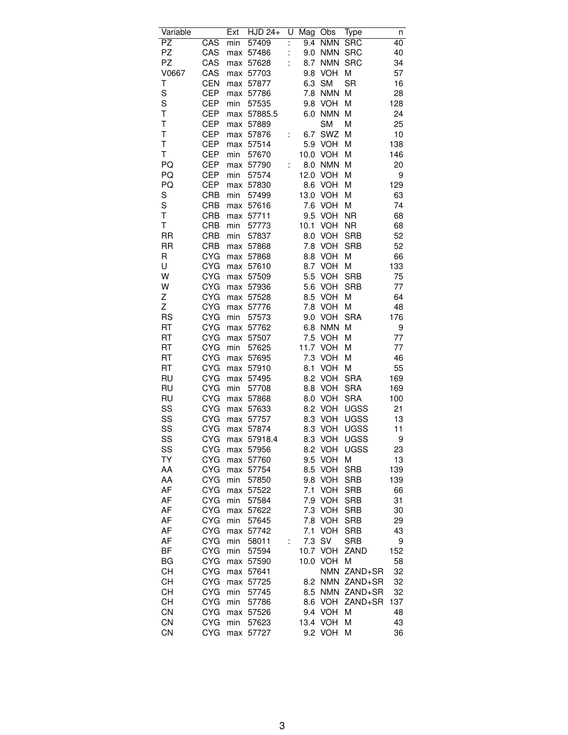| $\overline{PZ}$<br>57409<br>9.4<br><b>NMN</b><br><b>SRC</b><br>40<br>min<br>$\ddot{\phantom{a}}$<br>PZ<br>CAS<br>57486<br>Ì.<br>9.0<br><b>NMN</b><br><b>SRC</b><br>40<br>max<br>PZ<br>CAS<br>÷<br><b>NMN</b><br><b>SRC</b><br>34<br>57628<br>8.7<br>max<br>V0667<br>CAS<br><b>VOH</b><br>M<br>57<br>57703<br>9.8<br>max<br><b>SR</b><br>Τ<br><b>CEN</b><br><b>SM</b><br>16<br>6.3<br>max<br>57877<br>S<br><b>CEP</b><br><b>NMN</b><br>Μ<br>28<br>7.8<br>max<br>57786<br>S<br><b>CEP</b><br>57535<br>9.8<br><b>VOH</b><br>М<br>128<br>min<br>T<br><b>CEP</b><br><b>NMN</b><br>M<br>24<br>57885.5<br>6.0<br>max<br>T<br><b>CEP</b><br><b>SM</b><br>M<br>25<br>57889<br>max<br>T<br><b>CEP</b><br>SWZ<br>10<br>57876<br>6.7<br>М<br>max<br>İ<br>T<br><b>CEP</b><br>5.9<br><b>VOH</b><br>138<br>57514<br>Μ<br>max<br>T<br><b>CEP</b><br>min<br>57670<br>10.0<br><b>VOH</b><br>М<br>146<br><b>CEP</b><br><b>NMN</b><br>PQ<br>57790<br>8.0<br>М<br>20<br>max<br><b>CEP</b><br>PQ<br>12.0<br><b>VOH</b><br>M<br>9<br>min<br>57574<br>PQ<br><b>CEP</b><br>8.6<br>129<br>57830<br><b>VOH</b><br>М<br>max<br>S<br><b>CRB</b><br>13.0<br><b>VOH</b><br>min<br>57499<br>М<br>63<br>S<br><b>CRB</b><br><b>VOH</b><br>M<br>74<br>57616<br>7.6<br>max<br>Т<br><b>CRB</b><br>9.5<br><b>VOH</b><br><b>NR</b><br>68<br>57711<br>max<br>T<br><b>CRB</b><br>10.1<br><b>VOH</b><br><b>NR</b><br>68<br>min<br>57773<br><b>RR</b><br><b>CRB</b><br><b>VOH</b><br><b>SRB</b><br>52<br>min<br>57837<br>8.0<br><b>RR</b><br><b>CRB</b><br><b>VOH</b><br><b>SRB</b><br>52<br>57868<br>7.8<br>max<br>R<br><b>CYG</b><br><b>VOH</b><br>66<br>57868<br>8.8<br>М<br>max<br>U<br>133<br><b>CYG</b><br>8.7<br><b>VOH</b><br>M<br>57610<br>max<br>W<br>75<br><b>CYG</b><br>5.5<br><b>VOH</b><br><b>SRB</b><br>57509<br>max<br>W<br><b>CYG</b><br><b>VOH</b><br><b>SRB</b><br>57936<br>5.6<br>77<br>max<br>64<br>Z<br><b>CYG</b><br>8.5<br><b>VOH</b><br>M<br>57528<br>max<br>Z<br><b>CYG</b><br><b>VOH</b><br>M<br>48<br>57776<br>7.8<br>max<br><b>RS</b><br><b>CYG</b><br><b>VOH</b><br><b>SRA</b><br>176<br>min<br>57573<br>9.0<br><b>NMN</b><br>RT<br><b>CYG</b><br>M<br>57762<br>6.8<br>9<br>max<br><b>CYG</b><br>RT<br>57507<br>7.5<br><b>VOH</b><br>M<br>77<br>max<br><b>CYG</b><br>RT<br>11.7<br><b>VOH</b><br>М<br>77<br>min<br>57625<br>RT<br>46<br><b>CYG</b><br>57695<br>7.3<br><b>VOH</b><br>М<br>max<br>RT<br><b>CYG</b><br>VOH<br>55<br>57910<br>8.1<br>М<br>max<br><b>RU</b><br><b>CYG</b><br>8.2<br><b>VOH</b><br><b>SRA</b><br>169<br>57495<br>max<br><b>RU</b><br><b>CYG</b><br>min<br>8.8<br><b>VOH</b><br><b>SRA</b><br>169<br>57708<br><b>RU</b><br><b>CYG</b><br><b>VOH</b><br>8.0<br><b>SRA</b><br>100<br>57868<br>max<br>SS<br><b>CYG</b><br>VOH<br>UGSS<br>21<br>57633<br>8.2<br>max<br>SS<br><b>CYG</b><br><b>VOH</b><br><b>UGSS</b><br>13<br>57757<br>8.3<br>max<br>SS<br><b>CYG</b><br><b>VOH</b><br><b>UGSS</b><br>57874<br>8.3<br>11<br>max<br>SS<br>CYG<br>8.3<br><b>VOH</b><br><b>UGSS</b><br>9<br>57918.4<br>max<br>SS<br><b>CYG</b><br>8.2 VOH<br><b>UGSS</b><br>23<br>max<br>57956<br>TΥ<br><b>CYG</b><br><b>VOH</b><br>М<br>9.5<br>13<br>max<br>57760<br>AA<br><b>CYG</b><br>8.5<br><b>VOH</b><br><b>SRB</b><br>139<br>57754<br>max<br><b>CYG</b><br><b>SRB</b><br>AA<br>min<br>57850<br>9.8<br><b>VOH</b><br>139<br>AF<br><b>CYG</b><br><b>VOH</b><br>57522<br>7.1<br><b>SRB</b><br>66<br>max<br>AF<br>7.9<br><b>VOH</b><br>31<br>CYG<br>min<br>57584<br><b>SRB</b><br>AF<br><b>CYG</b><br>7.3<br><b>VOH</b><br><b>SRB</b><br>30<br>57622<br>max<br>AF<br><b>CYG</b><br><b>VOH</b><br><b>SRB</b><br>29<br>min<br>57645<br>7.8<br>AF<br><b>CYG</b><br><b>VOH</b><br>57742<br>7.1<br><b>SRB</b><br>43<br>max<br>AF<br><b>CYG</b><br>7.3<br>SV<br>min<br>58011<br><b>SRB</b><br>9<br>İ<br>ΒF<br><b>CYG</b><br><b>VOH</b><br>ZAND<br>min<br>57594<br>10.7<br>152<br><b>BG</b><br><b>CYG</b><br>10.0<br><b>VOH</b><br>М<br>58<br>57590<br>max<br>СH<br><b>CYG</b><br><b>NMN</b><br>ZAND+SR<br>32<br>57641<br>max<br>СH<br><b>CYG</b><br><b>NMN</b><br>ZAND+SR<br>32<br>57725<br>8.2<br>max<br>СH<br><b>CYG</b><br>min<br>57745<br>8.5<br><b>NMN</b><br>ZAND+SR<br>32<br>СH<br><b>CYG</b><br><b>VOH</b><br>ZAND+SR<br>137<br>min<br>57786<br>8.6<br>CN<br><b>CYG</b><br><b>VOH</b><br>48<br>9.4<br>Μ<br>max<br>57526<br>CN<br><b>CYG</b><br>13.4<br><b>VOH</b><br>43<br>min<br>57623<br>Μ<br>CN<br><b>CYG</b><br>9.2<br><b>VOH</b><br>36<br>57727<br>Μ<br>max | Variable |     | Ext | <b>HJD 24+</b> | U | Mag | Obs | Type | n |
|------------------------------------------------------------------------------------------------------------------------------------------------------------------------------------------------------------------------------------------------------------------------------------------------------------------------------------------------------------------------------------------------------------------------------------------------------------------------------------------------------------------------------------------------------------------------------------------------------------------------------------------------------------------------------------------------------------------------------------------------------------------------------------------------------------------------------------------------------------------------------------------------------------------------------------------------------------------------------------------------------------------------------------------------------------------------------------------------------------------------------------------------------------------------------------------------------------------------------------------------------------------------------------------------------------------------------------------------------------------------------------------------------------------------------------------------------------------------------------------------------------------------------------------------------------------------------------------------------------------------------------------------------------------------------------------------------------------------------------------------------------------------------------------------------------------------------------------------------------------------------------------------------------------------------------------------------------------------------------------------------------------------------------------------------------------------------------------------------------------------------------------------------------------------------------------------------------------------------------------------------------------------------------------------------------------------------------------------------------------------------------------------------------------------------------------------------------------------------------------------------------------------------------------------------------------------------------------------------------------------------------------------------------------------------------------------------------------------------------------------------------------------------------------------------------------------------------------------------------------------------------------------------------------------------------------------------------------------------------------------------------------------------------------------------------------------------------------------------------------------------------------------------------------------------------------------------------------------------------------------------------------------------------------------------------------------------------------------------------------------------------------------------------------------------------------------------------------------------------------------------------------------------------------------------------------------------------------------------------------------------------------------------------------------------------------------------------------------------------------------------------------------------------------------------------------------------------------------------------------------------------------------------------------------------------------------------------------------------------------------------------------------------------------------------------------------------------------------------------------------------------------------------------------------------------------------------------------------------------------------------------------------------------------------------------------------------------------------------------------------------------------------------------------------------------------------------------|----------|-----|-----|----------------|---|-----|-----|------|---|
|                                                                                                                                                                                                                                                                                                                                                                                                                                                                                                                                                                                                                                                                                                                                                                                                                                                                                                                                                                                                                                                                                                                                                                                                                                                                                                                                                                                                                                                                                                                                                                                                                                                                                                                                                                                                                                                                                                                                                                                                                                                                                                                                                                                                                                                                                                                                                                                                                                                                                                                                                                                                                                                                                                                                                                                                                                                                                                                                                                                                                                                                                                                                                                                                                                                                                                                                                                                                                                                                                                                                                                                                                                                                                                                                                                                                                                                                                                                                                                                                                                                                                                                                                                                                                                                                                                                                                                                                                                                            |          | CAS |     |                |   |     |     |      |   |
|                                                                                                                                                                                                                                                                                                                                                                                                                                                                                                                                                                                                                                                                                                                                                                                                                                                                                                                                                                                                                                                                                                                                                                                                                                                                                                                                                                                                                                                                                                                                                                                                                                                                                                                                                                                                                                                                                                                                                                                                                                                                                                                                                                                                                                                                                                                                                                                                                                                                                                                                                                                                                                                                                                                                                                                                                                                                                                                                                                                                                                                                                                                                                                                                                                                                                                                                                                                                                                                                                                                                                                                                                                                                                                                                                                                                                                                                                                                                                                                                                                                                                                                                                                                                                                                                                                                                                                                                                                                            |          |     |     |                |   |     |     |      |   |
|                                                                                                                                                                                                                                                                                                                                                                                                                                                                                                                                                                                                                                                                                                                                                                                                                                                                                                                                                                                                                                                                                                                                                                                                                                                                                                                                                                                                                                                                                                                                                                                                                                                                                                                                                                                                                                                                                                                                                                                                                                                                                                                                                                                                                                                                                                                                                                                                                                                                                                                                                                                                                                                                                                                                                                                                                                                                                                                                                                                                                                                                                                                                                                                                                                                                                                                                                                                                                                                                                                                                                                                                                                                                                                                                                                                                                                                                                                                                                                                                                                                                                                                                                                                                                                                                                                                                                                                                                                                            |          |     |     |                |   |     |     |      |   |
|                                                                                                                                                                                                                                                                                                                                                                                                                                                                                                                                                                                                                                                                                                                                                                                                                                                                                                                                                                                                                                                                                                                                                                                                                                                                                                                                                                                                                                                                                                                                                                                                                                                                                                                                                                                                                                                                                                                                                                                                                                                                                                                                                                                                                                                                                                                                                                                                                                                                                                                                                                                                                                                                                                                                                                                                                                                                                                                                                                                                                                                                                                                                                                                                                                                                                                                                                                                                                                                                                                                                                                                                                                                                                                                                                                                                                                                                                                                                                                                                                                                                                                                                                                                                                                                                                                                                                                                                                                                            |          |     |     |                |   |     |     |      |   |
|                                                                                                                                                                                                                                                                                                                                                                                                                                                                                                                                                                                                                                                                                                                                                                                                                                                                                                                                                                                                                                                                                                                                                                                                                                                                                                                                                                                                                                                                                                                                                                                                                                                                                                                                                                                                                                                                                                                                                                                                                                                                                                                                                                                                                                                                                                                                                                                                                                                                                                                                                                                                                                                                                                                                                                                                                                                                                                                                                                                                                                                                                                                                                                                                                                                                                                                                                                                                                                                                                                                                                                                                                                                                                                                                                                                                                                                                                                                                                                                                                                                                                                                                                                                                                                                                                                                                                                                                                                                            |          |     |     |                |   |     |     |      |   |
|                                                                                                                                                                                                                                                                                                                                                                                                                                                                                                                                                                                                                                                                                                                                                                                                                                                                                                                                                                                                                                                                                                                                                                                                                                                                                                                                                                                                                                                                                                                                                                                                                                                                                                                                                                                                                                                                                                                                                                                                                                                                                                                                                                                                                                                                                                                                                                                                                                                                                                                                                                                                                                                                                                                                                                                                                                                                                                                                                                                                                                                                                                                                                                                                                                                                                                                                                                                                                                                                                                                                                                                                                                                                                                                                                                                                                                                                                                                                                                                                                                                                                                                                                                                                                                                                                                                                                                                                                                                            |          |     |     |                |   |     |     |      |   |
|                                                                                                                                                                                                                                                                                                                                                                                                                                                                                                                                                                                                                                                                                                                                                                                                                                                                                                                                                                                                                                                                                                                                                                                                                                                                                                                                                                                                                                                                                                                                                                                                                                                                                                                                                                                                                                                                                                                                                                                                                                                                                                                                                                                                                                                                                                                                                                                                                                                                                                                                                                                                                                                                                                                                                                                                                                                                                                                                                                                                                                                                                                                                                                                                                                                                                                                                                                                                                                                                                                                                                                                                                                                                                                                                                                                                                                                                                                                                                                                                                                                                                                                                                                                                                                                                                                                                                                                                                                                            |          |     |     |                |   |     |     |      |   |
|                                                                                                                                                                                                                                                                                                                                                                                                                                                                                                                                                                                                                                                                                                                                                                                                                                                                                                                                                                                                                                                                                                                                                                                                                                                                                                                                                                                                                                                                                                                                                                                                                                                                                                                                                                                                                                                                                                                                                                                                                                                                                                                                                                                                                                                                                                                                                                                                                                                                                                                                                                                                                                                                                                                                                                                                                                                                                                                                                                                                                                                                                                                                                                                                                                                                                                                                                                                                                                                                                                                                                                                                                                                                                                                                                                                                                                                                                                                                                                                                                                                                                                                                                                                                                                                                                                                                                                                                                                                            |          |     |     |                |   |     |     |      |   |
|                                                                                                                                                                                                                                                                                                                                                                                                                                                                                                                                                                                                                                                                                                                                                                                                                                                                                                                                                                                                                                                                                                                                                                                                                                                                                                                                                                                                                                                                                                                                                                                                                                                                                                                                                                                                                                                                                                                                                                                                                                                                                                                                                                                                                                                                                                                                                                                                                                                                                                                                                                                                                                                                                                                                                                                                                                                                                                                                                                                                                                                                                                                                                                                                                                                                                                                                                                                                                                                                                                                                                                                                                                                                                                                                                                                                                                                                                                                                                                                                                                                                                                                                                                                                                                                                                                                                                                                                                                                            |          |     |     |                |   |     |     |      |   |
|                                                                                                                                                                                                                                                                                                                                                                                                                                                                                                                                                                                                                                                                                                                                                                                                                                                                                                                                                                                                                                                                                                                                                                                                                                                                                                                                                                                                                                                                                                                                                                                                                                                                                                                                                                                                                                                                                                                                                                                                                                                                                                                                                                                                                                                                                                                                                                                                                                                                                                                                                                                                                                                                                                                                                                                                                                                                                                                                                                                                                                                                                                                                                                                                                                                                                                                                                                                                                                                                                                                                                                                                                                                                                                                                                                                                                                                                                                                                                                                                                                                                                                                                                                                                                                                                                                                                                                                                                                                            |          |     |     |                |   |     |     |      |   |
|                                                                                                                                                                                                                                                                                                                                                                                                                                                                                                                                                                                                                                                                                                                                                                                                                                                                                                                                                                                                                                                                                                                                                                                                                                                                                                                                                                                                                                                                                                                                                                                                                                                                                                                                                                                                                                                                                                                                                                                                                                                                                                                                                                                                                                                                                                                                                                                                                                                                                                                                                                                                                                                                                                                                                                                                                                                                                                                                                                                                                                                                                                                                                                                                                                                                                                                                                                                                                                                                                                                                                                                                                                                                                                                                                                                                                                                                                                                                                                                                                                                                                                                                                                                                                                                                                                                                                                                                                                                            |          |     |     |                |   |     |     |      |   |
|                                                                                                                                                                                                                                                                                                                                                                                                                                                                                                                                                                                                                                                                                                                                                                                                                                                                                                                                                                                                                                                                                                                                                                                                                                                                                                                                                                                                                                                                                                                                                                                                                                                                                                                                                                                                                                                                                                                                                                                                                                                                                                                                                                                                                                                                                                                                                                                                                                                                                                                                                                                                                                                                                                                                                                                                                                                                                                                                                                                                                                                                                                                                                                                                                                                                                                                                                                                                                                                                                                                                                                                                                                                                                                                                                                                                                                                                                                                                                                                                                                                                                                                                                                                                                                                                                                                                                                                                                                                            |          |     |     |                |   |     |     |      |   |
|                                                                                                                                                                                                                                                                                                                                                                                                                                                                                                                                                                                                                                                                                                                                                                                                                                                                                                                                                                                                                                                                                                                                                                                                                                                                                                                                                                                                                                                                                                                                                                                                                                                                                                                                                                                                                                                                                                                                                                                                                                                                                                                                                                                                                                                                                                                                                                                                                                                                                                                                                                                                                                                                                                                                                                                                                                                                                                                                                                                                                                                                                                                                                                                                                                                                                                                                                                                                                                                                                                                                                                                                                                                                                                                                                                                                                                                                                                                                                                                                                                                                                                                                                                                                                                                                                                                                                                                                                                                            |          |     |     |                |   |     |     |      |   |
|                                                                                                                                                                                                                                                                                                                                                                                                                                                                                                                                                                                                                                                                                                                                                                                                                                                                                                                                                                                                                                                                                                                                                                                                                                                                                                                                                                                                                                                                                                                                                                                                                                                                                                                                                                                                                                                                                                                                                                                                                                                                                                                                                                                                                                                                                                                                                                                                                                                                                                                                                                                                                                                                                                                                                                                                                                                                                                                                                                                                                                                                                                                                                                                                                                                                                                                                                                                                                                                                                                                                                                                                                                                                                                                                                                                                                                                                                                                                                                                                                                                                                                                                                                                                                                                                                                                                                                                                                                                            |          |     |     |                |   |     |     |      |   |
|                                                                                                                                                                                                                                                                                                                                                                                                                                                                                                                                                                                                                                                                                                                                                                                                                                                                                                                                                                                                                                                                                                                                                                                                                                                                                                                                                                                                                                                                                                                                                                                                                                                                                                                                                                                                                                                                                                                                                                                                                                                                                                                                                                                                                                                                                                                                                                                                                                                                                                                                                                                                                                                                                                                                                                                                                                                                                                                                                                                                                                                                                                                                                                                                                                                                                                                                                                                                                                                                                                                                                                                                                                                                                                                                                                                                                                                                                                                                                                                                                                                                                                                                                                                                                                                                                                                                                                                                                                                            |          |     |     |                |   |     |     |      |   |
|                                                                                                                                                                                                                                                                                                                                                                                                                                                                                                                                                                                                                                                                                                                                                                                                                                                                                                                                                                                                                                                                                                                                                                                                                                                                                                                                                                                                                                                                                                                                                                                                                                                                                                                                                                                                                                                                                                                                                                                                                                                                                                                                                                                                                                                                                                                                                                                                                                                                                                                                                                                                                                                                                                                                                                                                                                                                                                                                                                                                                                                                                                                                                                                                                                                                                                                                                                                                                                                                                                                                                                                                                                                                                                                                                                                                                                                                                                                                                                                                                                                                                                                                                                                                                                                                                                                                                                                                                                                            |          |     |     |                |   |     |     |      |   |
|                                                                                                                                                                                                                                                                                                                                                                                                                                                                                                                                                                                                                                                                                                                                                                                                                                                                                                                                                                                                                                                                                                                                                                                                                                                                                                                                                                                                                                                                                                                                                                                                                                                                                                                                                                                                                                                                                                                                                                                                                                                                                                                                                                                                                                                                                                                                                                                                                                                                                                                                                                                                                                                                                                                                                                                                                                                                                                                                                                                                                                                                                                                                                                                                                                                                                                                                                                                                                                                                                                                                                                                                                                                                                                                                                                                                                                                                                                                                                                                                                                                                                                                                                                                                                                                                                                                                                                                                                                                            |          |     |     |                |   |     |     |      |   |
|                                                                                                                                                                                                                                                                                                                                                                                                                                                                                                                                                                                                                                                                                                                                                                                                                                                                                                                                                                                                                                                                                                                                                                                                                                                                                                                                                                                                                                                                                                                                                                                                                                                                                                                                                                                                                                                                                                                                                                                                                                                                                                                                                                                                                                                                                                                                                                                                                                                                                                                                                                                                                                                                                                                                                                                                                                                                                                                                                                                                                                                                                                                                                                                                                                                                                                                                                                                                                                                                                                                                                                                                                                                                                                                                                                                                                                                                                                                                                                                                                                                                                                                                                                                                                                                                                                                                                                                                                                                            |          |     |     |                |   |     |     |      |   |
|                                                                                                                                                                                                                                                                                                                                                                                                                                                                                                                                                                                                                                                                                                                                                                                                                                                                                                                                                                                                                                                                                                                                                                                                                                                                                                                                                                                                                                                                                                                                                                                                                                                                                                                                                                                                                                                                                                                                                                                                                                                                                                                                                                                                                                                                                                                                                                                                                                                                                                                                                                                                                                                                                                                                                                                                                                                                                                                                                                                                                                                                                                                                                                                                                                                                                                                                                                                                                                                                                                                                                                                                                                                                                                                                                                                                                                                                                                                                                                                                                                                                                                                                                                                                                                                                                                                                                                                                                                                            |          |     |     |                |   |     |     |      |   |
|                                                                                                                                                                                                                                                                                                                                                                                                                                                                                                                                                                                                                                                                                                                                                                                                                                                                                                                                                                                                                                                                                                                                                                                                                                                                                                                                                                                                                                                                                                                                                                                                                                                                                                                                                                                                                                                                                                                                                                                                                                                                                                                                                                                                                                                                                                                                                                                                                                                                                                                                                                                                                                                                                                                                                                                                                                                                                                                                                                                                                                                                                                                                                                                                                                                                                                                                                                                                                                                                                                                                                                                                                                                                                                                                                                                                                                                                                                                                                                                                                                                                                                                                                                                                                                                                                                                                                                                                                                                            |          |     |     |                |   |     |     |      |   |
|                                                                                                                                                                                                                                                                                                                                                                                                                                                                                                                                                                                                                                                                                                                                                                                                                                                                                                                                                                                                                                                                                                                                                                                                                                                                                                                                                                                                                                                                                                                                                                                                                                                                                                                                                                                                                                                                                                                                                                                                                                                                                                                                                                                                                                                                                                                                                                                                                                                                                                                                                                                                                                                                                                                                                                                                                                                                                                                                                                                                                                                                                                                                                                                                                                                                                                                                                                                                                                                                                                                                                                                                                                                                                                                                                                                                                                                                                                                                                                                                                                                                                                                                                                                                                                                                                                                                                                                                                                                            |          |     |     |                |   |     |     |      |   |
|                                                                                                                                                                                                                                                                                                                                                                                                                                                                                                                                                                                                                                                                                                                                                                                                                                                                                                                                                                                                                                                                                                                                                                                                                                                                                                                                                                                                                                                                                                                                                                                                                                                                                                                                                                                                                                                                                                                                                                                                                                                                                                                                                                                                                                                                                                                                                                                                                                                                                                                                                                                                                                                                                                                                                                                                                                                                                                                                                                                                                                                                                                                                                                                                                                                                                                                                                                                                                                                                                                                                                                                                                                                                                                                                                                                                                                                                                                                                                                                                                                                                                                                                                                                                                                                                                                                                                                                                                                                            |          |     |     |                |   |     |     |      |   |
|                                                                                                                                                                                                                                                                                                                                                                                                                                                                                                                                                                                                                                                                                                                                                                                                                                                                                                                                                                                                                                                                                                                                                                                                                                                                                                                                                                                                                                                                                                                                                                                                                                                                                                                                                                                                                                                                                                                                                                                                                                                                                                                                                                                                                                                                                                                                                                                                                                                                                                                                                                                                                                                                                                                                                                                                                                                                                                                                                                                                                                                                                                                                                                                                                                                                                                                                                                                                                                                                                                                                                                                                                                                                                                                                                                                                                                                                                                                                                                                                                                                                                                                                                                                                                                                                                                                                                                                                                                                            |          |     |     |                |   |     |     |      |   |
|                                                                                                                                                                                                                                                                                                                                                                                                                                                                                                                                                                                                                                                                                                                                                                                                                                                                                                                                                                                                                                                                                                                                                                                                                                                                                                                                                                                                                                                                                                                                                                                                                                                                                                                                                                                                                                                                                                                                                                                                                                                                                                                                                                                                                                                                                                                                                                                                                                                                                                                                                                                                                                                                                                                                                                                                                                                                                                                                                                                                                                                                                                                                                                                                                                                                                                                                                                                                                                                                                                                                                                                                                                                                                                                                                                                                                                                                                                                                                                                                                                                                                                                                                                                                                                                                                                                                                                                                                                                            |          |     |     |                |   |     |     |      |   |
|                                                                                                                                                                                                                                                                                                                                                                                                                                                                                                                                                                                                                                                                                                                                                                                                                                                                                                                                                                                                                                                                                                                                                                                                                                                                                                                                                                                                                                                                                                                                                                                                                                                                                                                                                                                                                                                                                                                                                                                                                                                                                                                                                                                                                                                                                                                                                                                                                                                                                                                                                                                                                                                                                                                                                                                                                                                                                                                                                                                                                                                                                                                                                                                                                                                                                                                                                                                                                                                                                                                                                                                                                                                                                                                                                                                                                                                                                                                                                                                                                                                                                                                                                                                                                                                                                                                                                                                                                                                            |          |     |     |                |   |     |     |      |   |
|                                                                                                                                                                                                                                                                                                                                                                                                                                                                                                                                                                                                                                                                                                                                                                                                                                                                                                                                                                                                                                                                                                                                                                                                                                                                                                                                                                                                                                                                                                                                                                                                                                                                                                                                                                                                                                                                                                                                                                                                                                                                                                                                                                                                                                                                                                                                                                                                                                                                                                                                                                                                                                                                                                                                                                                                                                                                                                                                                                                                                                                                                                                                                                                                                                                                                                                                                                                                                                                                                                                                                                                                                                                                                                                                                                                                                                                                                                                                                                                                                                                                                                                                                                                                                                                                                                                                                                                                                                                            |          |     |     |                |   |     |     |      |   |
|                                                                                                                                                                                                                                                                                                                                                                                                                                                                                                                                                                                                                                                                                                                                                                                                                                                                                                                                                                                                                                                                                                                                                                                                                                                                                                                                                                                                                                                                                                                                                                                                                                                                                                                                                                                                                                                                                                                                                                                                                                                                                                                                                                                                                                                                                                                                                                                                                                                                                                                                                                                                                                                                                                                                                                                                                                                                                                                                                                                                                                                                                                                                                                                                                                                                                                                                                                                                                                                                                                                                                                                                                                                                                                                                                                                                                                                                                                                                                                                                                                                                                                                                                                                                                                                                                                                                                                                                                                                            |          |     |     |                |   |     |     |      |   |
|                                                                                                                                                                                                                                                                                                                                                                                                                                                                                                                                                                                                                                                                                                                                                                                                                                                                                                                                                                                                                                                                                                                                                                                                                                                                                                                                                                                                                                                                                                                                                                                                                                                                                                                                                                                                                                                                                                                                                                                                                                                                                                                                                                                                                                                                                                                                                                                                                                                                                                                                                                                                                                                                                                                                                                                                                                                                                                                                                                                                                                                                                                                                                                                                                                                                                                                                                                                                                                                                                                                                                                                                                                                                                                                                                                                                                                                                                                                                                                                                                                                                                                                                                                                                                                                                                                                                                                                                                                                            |          |     |     |                |   |     |     |      |   |
|                                                                                                                                                                                                                                                                                                                                                                                                                                                                                                                                                                                                                                                                                                                                                                                                                                                                                                                                                                                                                                                                                                                                                                                                                                                                                                                                                                                                                                                                                                                                                                                                                                                                                                                                                                                                                                                                                                                                                                                                                                                                                                                                                                                                                                                                                                                                                                                                                                                                                                                                                                                                                                                                                                                                                                                                                                                                                                                                                                                                                                                                                                                                                                                                                                                                                                                                                                                                                                                                                                                                                                                                                                                                                                                                                                                                                                                                                                                                                                                                                                                                                                                                                                                                                                                                                                                                                                                                                                                            |          |     |     |                |   |     |     |      |   |
|                                                                                                                                                                                                                                                                                                                                                                                                                                                                                                                                                                                                                                                                                                                                                                                                                                                                                                                                                                                                                                                                                                                                                                                                                                                                                                                                                                                                                                                                                                                                                                                                                                                                                                                                                                                                                                                                                                                                                                                                                                                                                                                                                                                                                                                                                                                                                                                                                                                                                                                                                                                                                                                                                                                                                                                                                                                                                                                                                                                                                                                                                                                                                                                                                                                                                                                                                                                                                                                                                                                                                                                                                                                                                                                                                                                                                                                                                                                                                                                                                                                                                                                                                                                                                                                                                                                                                                                                                                                            |          |     |     |                |   |     |     |      |   |
|                                                                                                                                                                                                                                                                                                                                                                                                                                                                                                                                                                                                                                                                                                                                                                                                                                                                                                                                                                                                                                                                                                                                                                                                                                                                                                                                                                                                                                                                                                                                                                                                                                                                                                                                                                                                                                                                                                                                                                                                                                                                                                                                                                                                                                                                                                                                                                                                                                                                                                                                                                                                                                                                                                                                                                                                                                                                                                                                                                                                                                                                                                                                                                                                                                                                                                                                                                                                                                                                                                                                                                                                                                                                                                                                                                                                                                                                                                                                                                                                                                                                                                                                                                                                                                                                                                                                                                                                                                                            |          |     |     |                |   |     |     |      |   |
|                                                                                                                                                                                                                                                                                                                                                                                                                                                                                                                                                                                                                                                                                                                                                                                                                                                                                                                                                                                                                                                                                                                                                                                                                                                                                                                                                                                                                                                                                                                                                                                                                                                                                                                                                                                                                                                                                                                                                                                                                                                                                                                                                                                                                                                                                                                                                                                                                                                                                                                                                                                                                                                                                                                                                                                                                                                                                                                                                                                                                                                                                                                                                                                                                                                                                                                                                                                                                                                                                                                                                                                                                                                                                                                                                                                                                                                                                                                                                                                                                                                                                                                                                                                                                                                                                                                                                                                                                                                            |          |     |     |                |   |     |     |      |   |
|                                                                                                                                                                                                                                                                                                                                                                                                                                                                                                                                                                                                                                                                                                                                                                                                                                                                                                                                                                                                                                                                                                                                                                                                                                                                                                                                                                                                                                                                                                                                                                                                                                                                                                                                                                                                                                                                                                                                                                                                                                                                                                                                                                                                                                                                                                                                                                                                                                                                                                                                                                                                                                                                                                                                                                                                                                                                                                                                                                                                                                                                                                                                                                                                                                                                                                                                                                                                                                                                                                                                                                                                                                                                                                                                                                                                                                                                                                                                                                                                                                                                                                                                                                                                                                                                                                                                                                                                                                                            |          |     |     |                |   |     |     |      |   |
|                                                                                                                                                                                                                                                                                                                                                                                                                                                                                                                                                                                                                                                                                                                                                                                                                                                                                                                                                                                                                                                                                                                                                                                                                                                                                                                                                                                                                                                                                                                                                                                                                                                                                                                                                                                                                                                                                                                                                                                                                                                                                                                                                                                                                                                                                                                                                                                                                                                                                                                                                                                                                                                                                                                                                                                                                                                                                                                                                                                                                                                                                                                                                                                                                                                                                                                                                                                                                                                                                                                                                                                                                                                                                                                                                                                                                                                                                                                                                                                                                                                                                                                                                                                                                                                                                                                                                                                                                                                            |          |     |     |                |   |     |     |      |   |
|                                                                                                                                                                                                                                                                                                                                                                                                                                                                                                                                                                                                                                                                                                                                                                                                                                                                                                                                                                                                                                                                                                                                                                                                                                                                                                                                                                                                                                                                                                                                                                                                                                                                                                                                                                                                                                                                                                                                                                                                                                                                                                                                                                                                                                                                                                                                                                                                                                                                                                                                                                                                                                                                                                                                                                                                                                                                                                                                                                                                                                                                                                                                                                                                                                                                                                                                                                                                                                                                                                                                                                                                                                                                                                                                                                                                                                                                                                                                                                                                                                                                                                                                                                                                                                                                                                                                                                                                                                                            |          |     |     |                |   |     |     |      |   |
|                                                                                                                                                                                                                                                                                                                                                                                                                                                                                                                                                                                                                                                                                                                                                                                                                                                                                                                                                                                                                                                                                                                                                                                                                                                                                                                                                                                                                                                                                                                                                                                                                                                                                                                                                                                                                                                                                                                                                                                                                                                                                                                                                                                                                                                                                                                                                                                                                                                                                                                                                                                                                                                                                                                                                                                                                                                                                                                                                                                                                                                                                                                                                                                                                                                                                                                                                                                                                                                                                                                                                                                                                                                                                                                                                                                                                                                                                                                                                                                                                                                                                                                                                                                                                                                                                                                                                                                                                                                            |          |     |     |                |   |     |     |      |   |
|                                                                                                                                                                                                                                                                                                                                                                                                                                                                                                                                                                                                                                                                                                                                                                                                                                                                                                                                                                                                                                                                                                                                                                                                                                                                                                                                                                                                                                                                                                                                                                                                                                                                                                                                                                                                                                                                                                                                                                                                                                                                                                                                                                                                                                                                                                                                                                                                                                                                                                                                                                                                                                                                                                                                                                                                                                                                                                                                                                                                                                                                                                                                                                                                                                                                                                                                                                                                                                                                                                                                                                                                                                                                                                                                                                                                                                                                                                                                                                                                                                                                                                                                                                                                                                                                                                                                                                                                                                                            |          |     |     |                |   |     |     |      |   |
|                                                                                                                                                                                                                                                                                                                                                                                                                                                                                                                                                                                                                                                                                                                                                                                                                                                                                                                                                                                                                                                                                                                                                                                                                                                                                                                                                                                                                                                                                                                                                                                                                                                                                                                                                                                                                                                                                                                                                                                                                                                                                                                                                                                                                                                                                                                                                                                                                                                                                                                                                                                                                                                                                                                                                                                                                                                                                                                                                                                                                                                                                                                                                                                                                                                                                                                                                                                                                                                                                                                                                                                                                                                                                                                                                                                                                                                                                                                                                                                                                                                                                                                                                                                                                                                                                                                                                                                                                                                            |          |     |     |                |   |     |     |      |   |
|                                                                                                                                                                                                                                                                                                                                                                                                                                                                                                                                                                                                                                                                                                                                                                                                                                                                                                                                                                                                                                                                                                                                                                                                                                                                                                                                                                                                                                                                                                                                                                                                                                                                                                                                                                                                                                                                                                                                                                                                                                                                                                                                                                                                                                                                                                                                                                                                                                                                                                                                                                                                                                                                                                                                                                                                                                                                                                                                                                                                                                                                                                                                                                                                                                                                                                                                                                                                                                                                                                                                                                                                                                                                                                                                                                                                                                                                                                                                                                                                                                                                                                                                                                                                                                                                                                                                                                                                                                                            |          |     |     |                |   |     |     |      |   |
|                                                                                                                                                                                                                                                                                                                                                                                                                                                                                                                                                                                                                                                                                                                                                                                                                                                                                                                                                                                                                                                                                                                                                                                                                                                                                                                                                                                                                                                                                                                                                                                                                                                                                                                                                                                                                                                                                                                                                                                                                                                                                                                                                                                                                                                                                                                                                                                                                                                                                                                                                                                                                                                                                                                                                                                                                                                                                                                                                                                                                                                                                                                                                                                                                                                                                                                                                                                                                                                                                                                                                                                                                                                                                                                                                                                                                                                                                                                                                                                                                                                                                                                                                                                                                                                                                                                                                                                                                                                            |          |     |     |                |   |     |     |      |   |
|                                                                                                                                                                                                                                                                                                                                                                                                                                                                                                                                                                                                                                                                                                                                                                                                                                                                                                                                                                                                                                                                                                                                                                                                                                                                                                                                                                                                                                                                                                                                                                                                                                                                                                                                                                                                                                                                                                                                                                                                                                                                                                                                                                                                                                                                                                                                                                                                                                                                                                                                                                                                                                                                                                                                                                                                                                                                                                                                                                                                                                                                                                                                                                                                                                                                                                                                                                                                                                                                                                                                                                                                                                                                                                                                                                                                                                                                                                                                                                                                                                                                                                                                                                                                                                                                                                                                                                                                                                                            |          |     |     |                |   |     |     |      |   |
|                                                                                                                                                                                                                                                                                                                                                                                                                                                                                                                                                                                                                                                                                                                                                                                                                                                                                                                                                                                                                                                                                                                                                                                                                                                                                                                                                                                                                                                                                                                                                                                                                                                                                                                                                                                                                                                                                                                                                                                                                                                                                                                                                                                                                                                                                                                                                                                                                                                                                                                                                                                                                                                                                                                                                                                                                                                                                                                                                                                                                                                                                                                                                                                                                                                                                                                                                                                                                                                                                                                                                                                                                                                                                                                                                                                                                                                                                                                                                                                                                                                                                                                                                                                                                                                                                                                                                                                                                                                            |          |     |     |                |   |     |     |      |   |
|                                                                                                                                                                                                                                                                                                                                                                                                                                                                                                                                                                                                                                                                                                                                                                                                                                                                                                                                                                                                                                                                                                                                                                                                                                                                                                                                                                                                                                                                                                                                                                                                                                                                                                                                                                                                                                                                                                                                                                                                                                                                                                                                                                                                                                                                                                                                                                                                                                                                                                                                                                                                                                                                                                                                                                                                                                                                                                                                                                                                                                                                                                                                                                                                                                                                                                                                                                                                                                                                                                                                                                                                                                                                                                                                                                                                                                                                                                                                                                                                                                                                                                                                                                                                                                                                                                                                                                                                                                                            |          |     |     |                |   |     |     |      |   |
|                                                                                                                                                                                                                                                                                                                                                                                                                                                                                                                                                                                                                                                                                                                                                                                                                                                                                                                                                                                                                                                                                                                                                                                                                                                                                                                                                                                                                                                                                                                                                                                                                                                                                                                                                                                                                                                                                                                                                                                                                                                                                                                                                                                                                                                                                                                                                                                                                                                                                                                                                                                                                                                                                                                                                                                                                                                                                                                                                                                                                                                                                                                                                                                                                                                                                                                                                                                                                                                                                                                                                                                                                                                                                                                                                                                                                                                                                                                                                                                                                                                                                                                                                                                                                                                                                                                                                                                                                                                            |          |     |     |                |   |     |     |      |   |
|                                                                                                                                                                                                                                                                                                                                                                                                                                                                                                                                                                                                                                                                                                                                                                                                                                                                                                                                                                                                                                                                                                                                                                                                                                                                                                                                                                                                                                                                                                                                                                                                                                                                                                                                                                                                                                                                                                                                                                                                                                                                                                                                                                                                                                                                                                                                                                                                                                                                                                                                                                                                                                                                                                                                                                                                                                                                                                                                                                                                                                                                                                                                                                                                                                                                                                                                                                                                                                                                                                                                                                                                                                                                                                                                                                                                                                                                                                                                                                                                                                                                                                                                                                                                                                                                                                                                                                                                                                                            |          |     |     |                |   |     |     |      |   |
|                                                                                                                                                                                                                                                                                                                                                                                                                                                                                                                                                                                                                                                                                                                                                                                                                                                                                                                                                                                                                                                                                                                                                                                                                                                                                                                                                                                                                                                                                                                                                                                                                                                                                                                                                                                                                                                                                                                                                                                                                                                                                                                                                                                                                                                                                                                                                                                                                                                                                                                                                                                                                                                                                                                                                                                                                                                                                                                                                                                                                                                                                                                                                                                                                                                                                                                                                                                                                                                                                                                                                                                                                                                                                                                                                                                                                                                                                                                                                                                                                                                                                                                                                                                                                                                                                                                                                                                                                                                            |          |     |     |                |   |     |     |      |   |
|                                                                                                                                                                                                                                                                                                                                                                                                                                                                                                                                                                                                                                                                                                                                                                                                                                                                                                                                                                                                                                                                                                                                                                                                                                                                                                                                                                                                                                                                                                                                                                                                                                                                                                                                                                                                                                                                                                                                                                                                                                                                                                                                                                                                                                                                                                                                                                                                                                                                                                                                                                                                                                                                                                                                                                                                                                                                                                                                                                                                                                                                                                                                                                                                                                                                                                                                                                                                                                                                                                                                                                                                                                                                                                                                                                                                                                                                                                                                                                                                                                                                                                                                                                                                                                                                                                                                                                                                                                                            |          |     |     |                |   |     |     |      |   |
|                                                                                                                                                                                                                                                                                                                                                                                                                                                                                                                                                                                                                                                                                                                                                                                                                                                                                                                                                                                                                                                                                                                                                                                                                                                                                                                                                                                                                                                                                                                                                                                                                                                                                                                                                                                                                                                                                                                                                                                                                                                                                                                                                                                                                                                                                                                                                                                                                                                                                                                                                                                                                                                                                                                                                                                                                                                                                                                                                                                                                                                                                                                                                                                                                                                                                                                                                                                                                                                                                                                                                                                                                                                                                                                                                                                                                                                                                                                                                                                                                                                                                                                                                                                                                                                                                                                                                                                                                                                            |          |     |     |                |   |     |     |      |   |
|                                                                                                                                                                                                                                                                                                                                                                                                                                                                                                                                                                                                                                                                                                                                                                                                                                                                                                                                                                                                                                                                                                                                                                                                                                                                                                                                                                                                                                                                                                                                                                                                                                                                                                                                                                                                                                                                                                                                                                                                                                                                                                                                                                                                                                                                                                                                                                                                                                                                                                                                                                                                                                                                                                                                                                                                                                                                                                                                                                                                                                                                                                                                                                                                                                                                                                                                                                                                                                                                                                                                                                                                                                                                                                                                                                                                                                                                                                                                                                                                                                                                                                                                                                                                                                                                                                                                                                                                                                                            |          |     |     |                |   |     |     |      |   |
|                                                                                                                                                                                                                                                                                                                                                                                                                                                                                                                                                                                                                                                                                                                                                                                                                                                                                                                                                                                                                                                                                                                                                                                                                                                                                                                                                                                                                                                                                                                                                                                                                                                                                                                                                                                                                                                                                                                                                                                                                                                                                                                                                                                                                                                                                                                                                                                                                                                                                                                                                                                                                                                                                                                                                                                                                                                                                                                                                                                                                                                                                                                                                                                                                                                                                                                                                                                                                                                                                                                                                                                                                                                                                                                                                                                                                                                                                                                                                                                                                                                                                                                                                                                                                                                                                                                                                                                                                                                            |          |     |     |                |   |     |     |      |   |
|                                                                                                                                                                                                                                                                                                                                                                                                                                                                                                                                                                                                                                                                                                                                                                                                                                                                                                                                                                                                                                                                                                                                                                                                                                                                                                                                                                                                                                                                                                                                                                                                                                                                                                                                                                                                                                                                                                                                                                                                                                                                                                                                                                                                                                                                                                                                                                                                                                                                                                                                                                                                                                                                                                                                                                                                                                                                                                                                                                                                                                                                                                                                                                                                                                                                                                                                                                                                                                                                                                                                                                                                                                                                                                                                                                                                                                                                                                                                                                                                                                                                                                                                                                                                                                                                                                                                                                                                                                                            |          |     |     |                |   |     |     |      |   |
|                                                                                                                                                                                                                                                                                                                                                                                                                                                                                                                                                                                                                                                                                                                                                                                                                                                                                                                                                                                                                                                                                                                                                                                                                                                                                                                                                                                                                                                                                                                                                                                                                                                                                                                                                                                                                                                                                                                                                                                                                                                                                                                                                                                                                                                                                                                                                                                                                                                                                                                                                                                                                                                                                                                                                                                                                                                                                                                                                                                                                                                                                                                                                                                                                                                                                                                                                                                                                                                                                                                                                                                                                                                                                                                                                                                                                                                                                                                                                                                                                                                                                                                                                                                                                                                                                                                                                                                                                                                            |          |     |     |                |   |     |     |      |   |
|                                                                                                                                                                                                                                                                                                                                                                                                                                                                                                                                                                                                                                                                                                                                                                                                                                                                                                                                                                                                                                                                                                                                                                                                                                                                                                                                                                                                                                                                                                                                                                                                                                                                                                                                                                                                                                                                                                                                                                                                                                                                                                                                                                                                                                                                                                                                                                                                                                                                                                                                                                                                                                                                                                                                                                                                                                                                                                                                                                                                                                                                                                                                                                                                                                                                                                                                                                                                                                                                                                                                                                                                                                                                                                                                                                                                                                                                                                                                                                                                                                                                                                                                                                                                                                                                                                                                                                                                                                                            |          |     |     |                |   |     |     |      |   |
|                                                                                                                                                                                                                                                                                                                                                                                                                                                                                                                                                                                                                                                                                                                                                                                                                                                                                                                                                                                                                                                                                                                                                                                                                                                                                                                                                                                                                                                                                                                                                                                                                                                                                                                                                                                                                                                                                                                                                                                                                                                                                                                                                                                                                                                                                                                                                                                                                                                                                                                                                                                                                                                                                                                                                                                                                                                                                                                                                                                                                                                                                                                                                                                                                                                                                                                                                                                                                                                                                                                                                                                                                                                                                                                                                                                                                                                                                                                                                                                                                                                                                                                                                                                                                                                                                                                                                                                                                                                            |          |     |     |                |   |     |     |      |   |
|                                                                                                                                                                                                                                                                                                                                                                                                                                                                                                                                                                                                                                                                                                                                                                                                                                                                                                                                                                                                                                                                                                                                                                                                                                                                                                                                                                                                                                                                                                                                                                                                                                                                                                                                                                                                                                                                                                                                                                                                                                                                                                                                                                                                                                                                                                                                                                                                                                                                                                                                                                                                                                                                                                                                                                                                                                                                                                                                                                                                                                                                                                                                                                                                                                                                                                                                                                                                                                                                                                                                                                                                                                                                                                                                                                                                                                                                                                                                                                                                                                                                                                                                                                                                                                                                                                                                                                                                                                                            |          |     |     |                |   |     |     |      |   |
|                                                                                                                                                                                                                                                                                                                                                                                                                                                                                                                                                                                                                                                                                                                                                                                                                                                                                                                                                                                                                                                                                                                                                                                                                                                                                                                                                                                                                                                                                                                                                                                                                                                                                                                                                                                                                                                                                                                                                                                                                                                                                                                                                                                                                                                                                                                                                                                                                                                                                                                                                                                                                                                                                                                                                                                                                                                                                                                                                                                                                                                                                                                                                                                                                                                                                                                                                                                                                                                                                                                                                                                                                                                                                                                                                                                                                                                                                                                                                                                                                                                                                                                                                                                                                                                                                                                                                                                                                                                            |          |     |     |                |   |     |     |      |   |
|                                                                                                                                                                                                                                                                                                                                                                                                                                                                                                                                                                                                                                                                                                                                                                                                                                                                                                                                                                                                                                                                                                                                                                                                                                                                                                                                                                                                                                                                                                                                                                                                                                                                                                                                                                                                                                                                                                                                                                                                                                                                                                                                                                                                                                                                                                                                                                                                                                                                                                                                                                                                                                                                                                                                                                                                                                                                                                                                                                                                                                                                                                                                                                                                                                                                                                                                                                                                                                                                                                                                                                                                                                                                                                                                                                                                                                                                                                                                                                                                                                                                                                                                                                                                                                                                                                                                                                                                                                                            |          |     |     |                |   |     |     |      |   |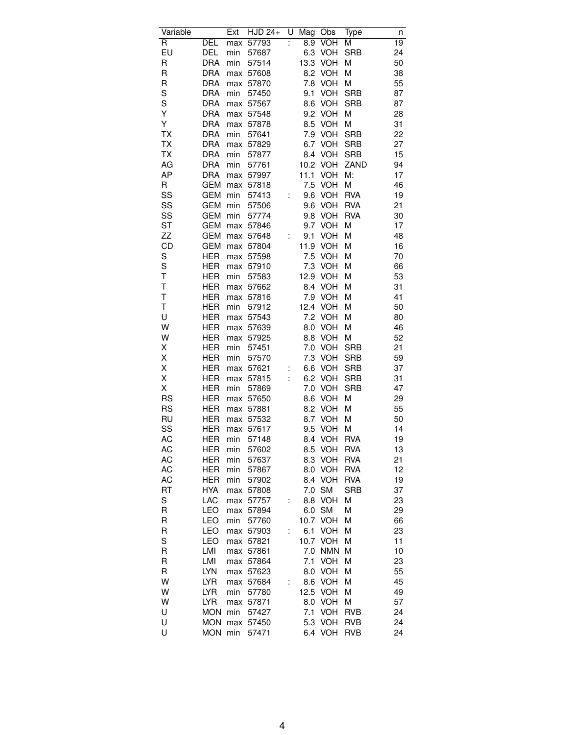| Variable               |                          | Ext | <b>HJD 24+</b> | U  | Mag              | Obs                      | Type                     | n        |
|------------------------|--------------------------|-----|----------------|----|------------------|--------------------------|--------------------------|----------|
| R                      | DEL                      | max | 57793          | ÷  | $\overline{8.9}$ | <b>VOH</b>               | Μ                        | 19       |
| EU                     | DEL                      | min | 57687          |    | 6.3              | <b>VOH</b>               | <b>SRB</b>               | 24       |
| R                      | <b>DRA</b>               | min | 57514          |    | 13.3             | <b>VOH</b>               | M                        | 50       |
| R                      | <b>DRA</b>               | max | 57608          |    | 8.2              | <b>VOH</b>               | M                        | 38       |
| R                      | <b>DRA</b>               | max | 57870          |    | 7.8              | <b>VOH</b>               | M                        | 55       |
| S                      | <b>DRA</b>               | min | 57450          |    | 9.1              | <b>VOH</b>               | <b>SRB</b>               | 87       |
| S                      | <b>DRA</b>               | max | 57567          |    | 8.6              | VOH                      | <b>SRB</b>               | 87       |
| Υ                      | <b>DRA</b>               | max | 57548          |    | 9.2              | <b>VOH</b>               | M                        | 28       |
| Υ                      | <b>DRA</b>               | max | 57878          |    | 8.5              | <b>VOH</b>               | M                        | 31       |
| ТX                     | <b>DRA</b>               | min | 57641          |    | 7.9              | VOH                      | <b>SRB</b>               | 22       |
| TX                     | <b>DRA</b>               | max | 57829          |    | 6.7              | <b>VOH</b>               | <b>SRB</b>               | 27       |
| <b>TX</b>              | <b>DRA</b>               | min | 57877          |    | 8.4              | <b>VOH</b>               | <b>SRB</b>               | 15       |
| AG                     | <b>DRA</b>               | min | 57761          |    | 10.2             | VOH                      | ZAND                     | 94       |
| AP                     | <b>DRA</b>               | max | 57997          |    | 11.1             | <b>VOH</b>               | M:                       | 17       |
| R                      | <b>GEM</b>               | max | 57818          |    | 7.5              | VOH                      | M                        | 46       |
| SS                     | <b>GEM</b>               | min | 57413          |    | 9.6              | <b>VOH</b>               | <b>RVA</b>               | 19       |
| SS                     | <b>GEM</b>               | min | 57506          |    | 9.6              | VOH                      | <b>RVA</b>               | 21       |
| SS                     | <b>GEM</b>               | min | 57774          |    | 9.8              | <b>VOH</b>               | <b>RVA</b>               | 30       |
| <b>ST</b>              | <b>GEM</b>               | max | 57846          |    | 9.7              | <b>VOH</b>               | M                        | 17       |
| ZΖ                     | <b>GEM</b>               | max | 57648          | Ì. | 9.1              | <b>VOH</b>               | M                        | 48       |
| CD                     | <b>GEM</b>               | max | 57804          |    | 11.9             | <b>VOH</b>               | Μ                        | 16       |
| S                      | HER                      | max | 57598          |    | 7.5              | <b>VOH</b>               | Μ                        | 70       |
| S                      | <b>HER</b>               | max | 57910          |    | 7.3              | <b>VOH</b>               | M                        | 66       |
| T                      | <b>HER</b>               | min | 57583          |    | 12.9             | <b>VOH</b>               | M                        | 53       |
| T                      | HER                      | max | 57662          |    | 8.4              | <b>VOH</b>               | M                        | 31       |
| T                      | <b>HER</b>               |     | 57816          |    | 7.9              | <b>VOH</b>               | M                        | 41       |
| T                      | <b>HER</b>               | max |                |    | 12.4             | VOH                      |                          | 50       |
| U                      | <b>HER</b>               | min | 57912          |    | 7.2              | <b>VOH</b>               | Μ                        | 80       |
| W                      |                          | max | 57543          |    |                  |                          | М                        | 46       |
| W                      | <b>HER</b>               | max | 57639          |    | 8.0              | <b>VOH</b>               | M                        |          |
|                        | <b>HER</b>               | max | 57925          |    | 8.8              | <b>VOH</b>               | M                        | 52       |
| Χ                      | HER<br><b>HER</b>        | min | 57451          |    | 7.0<br>7.3       | <b>VOH</b><br>VOH        | <b>SRB</b><br><b>SRB</b> | 21<br>59 |
| Χ                      |                          | min | 57570          |    |                  | VOH                      | <b>SRB</b>               | 37       |
| Χ                      | HER                      | max | 57621          |    | 6.6              |                          |                          |          |
| Χ<br>Χ                 | <b>HER</b><br><b>HER</b> | max | 57815          |    | 6.2              | <b>VOH</b>               | <b>SRB</b><br><b>SRB</b> | 31<br>47 |
|                        | <b>HER</b>               | min | 57869          |    | 7.0              | <b>VOH</b><br><b>VOH</b> |                          |          |
| <b>RS</b>              |                          | max | 57650          |    | 8.6              |                          | M                        | 29<br>55 |
| <b>RS</b><br><b>RU</b> | HER                      | max | 57881          |    | 8.2              | <b>VOH</b>               | M                        |          |
|                        | <b>HER</b>               | max | 57532          |    | 8.7              | <b>VOH</b><br><b>VOH</b> | M                        | 50       |
| SS                     | <b>HER</b>               | max | 57617          |    | 9.5              |                          | M<br><b>RVA</b>          | 14       |
| AC                     | HER<br><b>HER</b>        | min | 57148          |    | 8.4              | <b>VOH</b><br><b>VOH</b> | <b>RVA</b>               | 19       |
| АC<br>AC               | <b>HER</b>               | min | 57602          |    | 8.5              | <b>VOH</b>               | <b>RVA</b>               | 13<br>21 |
|                        |                          | min | 57637          |    | 8.3              |                          |                          |          |
| AC                     | HER                      | min | 57867          |    | 8.0              | <b>VOH</b><br><b>VOH</b> | <b>RVA</b>               | 12       |
| АC                     | <b>HER</b>               | min | 57902          |    | 8.4              |                          | <b>RVA</b>               | 19       |
| RT                     | <b>HYA</b>               | max | 57808          |    | 7.0              | <b>SM</b>                | <b>SRB</b>               | 37       |
| S                      | LAC                      | max | 57757          |    | 8.8              | <b>VOH</b>               | M                        | 23       |
| R                      | LEO                      | max | 57894          |    | 6.0              | <b>SM</b>                | M                        | 29       |
| R                      | LEO                      | min | 57760          |    | 10.7             | <b>VOH</b>               | Μ                        | 66       |
| R                      | LEO                      | max | 57903          | Ì. | 6.1              | VOH                      | М                        | 23       |
| S                      | LEO                      | max | 57821          |    | 10.7             | <b>VOH</b>               | М                        | 11       |
| R                      | LMI                      | max | 57861          |    | 7.0              | <b>NMN</b>               | М                        | 10       |
| R                      | LMI                      | max | 57864          |    | 7.1              | <b>VOH</b>               | M                        | 23       |
| R                      | <b>LYN</b>               | max | 57623          |    | 8.0              | <b>VOH</b>               | M                        | 55       |
| W                      | <b>LYR</b>               | max | 57684          | Ì. | 8.6              | <b>VOH</b>               | Μ                        | 45       |
| W                      | LYR                      | min | 57780          |    | 12.5             | <b>VOH</b>               | Μ                        | 49       |
| W                      | <b>LYR</b>               | max | 57871          |    | 8.0              | <b>VOH</b>               | M                        | 57       |
| U                      | <b>MON</b>               | min | 57427          |    | 7.1              | <b>VOH</b>               | <b>RVB</b>               | 24       |
| U                      | <b>MON</b>               | max | 57450          |    | 5.3              | <b>VOH</b>               | <b>RVB</b>               | 24       |
| U                      | <b>MON</b>               | min | 57471          |    |                  | 6.4 VOH                  | <b>RVB</b>               | 24       |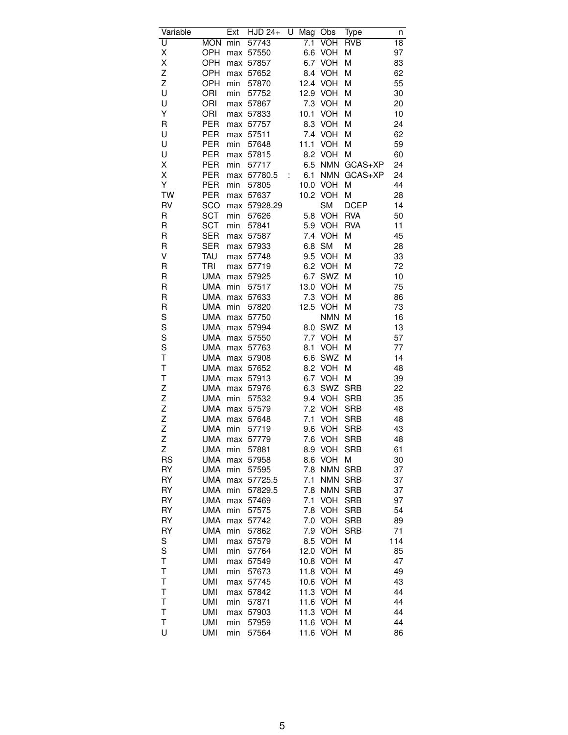| Variable      |            | Ext | <b>HJD 24+</b> | U | Mag  | Obs        | Type        | n               |
|---------------|------------|-----|----------------|---|------|------------|-------------|-----------------|
| U             | <b>MON</b> | min | 57743          |   | 7.1  | <b>VOH</b> | <b>RVB</b>  | $\overline{18}$ |
| Χ             | OPH        | max | 57550          |   | 6.6  | <b>VOH</b> | M           | 97              |
| Χ             | OPH        | max | 57857          |   | 6.7  | <b>VOH</b> | M           | 83              |
| Z             | OPH        | max | 57652          |   | 8.4  | <b>VOH</b> | Μ           | 62              |
| Z             | OPH        | min | 57870          |   | 12.4 | <b>VOH</b> | М           | 55              |
| U             | ORI        | min | 57752          |   | 12.9 | <b>VOH</b> | M           | 30              |
| U             | ORI        | max | 57867          |   | 7.3  | <b>VOH</b> | M           | 20              |
| Υ             | ORI        | max | 57833          |   | 10.1 | <b>VOH</b> | Μ           | 10              |
| R             | PER        | max | 57757          |   | 8.3  | <b>VOH</b> | Μ           | 24              |
| U             | PER        | max | 57511          |   | 7.4  | <b>VOH</b> | Μ           | 62              |
| U             | PER        | min | 57648          |   | 11.1 | <b>VOH</b> | M           | 59              |
| U             | <b>PER</b> | max | 57815          |   | 8.2  | <b>VOH</b> | M           | 60              |
| Χ             | <b>PER</b> | min | 57717          |   | 6.5  | <b>NMN</b> | GCAS+XP     | 24              |
| Χ             | PER        | max | 57780.5        | t | 6.1  | <b>NMN</b> | GCAS+XP     | 24              |
| Υ             | PER        | min | 57805          |   | 10.0 | <b>VOH</b> | Μ           | 44              |
| <b>TW</b>     | PER        | max | 57637          |   | 10.2 | <b>VOH</b> | Μ           | 28              |
| RV            | SCO        | max | 57928.29       |   |      | <b>SM</b>  | <b>DCEP</b> | 14              |
| R             | <b>SCT</b> | min | 57626          |   | 5.8  | <b>VOH</b> | <b>RVA</b>  | 50              |
| R             | <b>SCT</b> |     |                |   | 5.9  | <b>VOH</b> | <b>RVA</b>  | 11              |
|               |            | min | 57841          |   |      |            |             |                 |
| R             | <b>SER</b> | max | 57587          |   | 7.4  | <b>VOH</b> | M           | 45              |
| R             | <b>SER</b> | max | 57933          |   | 6.8  | <b>SM</b>  | Μ           | 28              |
| V             | <b>TAU</b> | max | 57748          |   | 9.5  | <b>VOH</b> | Μ           | 33              |
| R             | TRI        | max | 57719          |   | 6.2  | <b>VOH</b> | M           | 72              |
| R             | <b>UMA</b> | max | 57925          |   | 6.7  | SWZ        | M           | 10              |
| R             | <b>UMA</b> | min | 57517          |   | 13.0 | VOH        | M           | 75              |
| R             | <b>UMA</b> | max | 57633          |   | 7.3  | <b>VOH</b> | M           | 86              |
| R             | <b>UMA</b> | min | 57820          |   | 12.5 | <b>VOH</b> | М           | 73              |
| S             | UMA        | max | 57750          |   |      | <b>NMN</b> | М           | 16              |
| S             | <b>UMA</b> | max | 57994          |   | 8.0  | SWZ        | M           | 13              |
| S             | <b>UMA</b> | max | 57550          |   | 7.7  | <b>VOH</b> | M           | 57              |
| S             | <b>UMA</b> | max | 57763          |   | 8.1  | <b>VOH</b> | Μ           | 77              |
| T             | <b>UMA</b> | max | 57908          |   | 6.6  | SWZ        | Μ           | 14              |
| T             | <b>UMA</b> | max | 57652          |   | 8.2  | <b>VOH</b> | Μ           | 48              |
| T             | <b>UMA</b> | max | 57913          |   | 6.7  | <b>VOH</b> | M           | 39              |
|               | <b>UMA</b> | max | 57976          |   | 6.3  | SWZ        | <b>SRB</b>  | 22              |
| $\frac{z}{z}$ | <b>UMA</b> | min | 57532          |   | 9.4  | VOH        | <b>SRB</b>  | 35              |
| Z             | <b>UMA</b> | max | 57579          |   | 7.2  | <b>VOH</b> | <b>SRB</b>  | 48              |
| $\frac{z}{z}$ | <b>UMA</b> | max | 57648          |   | 7.1  | VOH        | <b>SRB</b>  | 48              |
|               | <b>UMA</b> | min | 57719          |   | 9.6  | <b>VOH</b> | <b>SRB</b>  | 43              |
| Z             | <b>UMA</b> | max | 57779          |   | 7.6  | <b>VOH</b> | <b>SRB</b>  | 48              |
| Ζ             | <b>UMA</b> | min | 57881          |   | 8.9  | VOH        | <b>SRB</b>  | 61              |
| <b>RS</b>     | <b>UMA</b> | max | 57958          |   | 8.6  | <b>VOH</b> | M           | 30              |
| RY            | <b>UMA</b> | min | 57595          |   | 7.8  | <b>NMN</b> | <b>SRB</b>  | 37              |
| RY            | <b>UMA</b> | max | 57725.5        |   | 7.1  | <b>NMN</b> | <b>SRB</b>  | 37              |
| RY            | UMA        | min | 57829.5        |   | 7.8  | <b>NMN</b> | <b>SRB</b>  | 37              |
| RY            | <b>UMA</b> | max | 57469          |   | 7.1  | <b>VOH</b> | SRB         | 97              |
| RY            | <b>UMA</b> | min | 57575          |   | 7.8  | <b>VOH</b> | <b>SRB</b>  | 54              |
| RY            | <b>UMA</b> | max | 57742          |   | 7.0  | <b>VOH</b> | <b>SRB</b>  | 89              |
| RY            | UMA        | min | 57862          |   | 7.9  | <b>VOH</b> | <b>SRB</b>  | 71              |
| S             | UMI        | max | 57579          |   | 8.5  | <b>VOH</b> | Μ           | 114             |
| S             | <b>UMI</b> | min | 57764          |   | 12.0 | <b>VOH</b> | М           | 85              |
| T             | <b>UMI</b> | max | 57549          |   | 10.8 | <b>VOH</b> | M           | 47              |
| T             | <b>UMI</b> | min | 57673          |   | 11.8 | <b>VOH</b> | M           | 49              |
| T             | <b>UMI</b> | max | 57745          |   | 10.6 | <b>VOH</b> | Μ           | 43              |
| T             | UMI        | max | 57842          |   | 11.3 | <b>VOH</b> | Μ           | 44              |
| T             | <b>UMI</b> | min | 57871          |   | 11.6 | <b>VOH</b> | Μ           | 44              |
| T             | <b>UMI</b> | max | 57903          |   | 11.3 | <b>VOH</b> | Μ           | 44              |
| T             | <b>UMI</b> | min | 57959          |   | 11.6 | <b>VOH</b> | Μ           | 44              |
| U             | UMI        | min | 57564          |   | 11.6 | <b>VOH</b> | M           | 86              |
|               |            |     |                |   |      |            |             |                 |